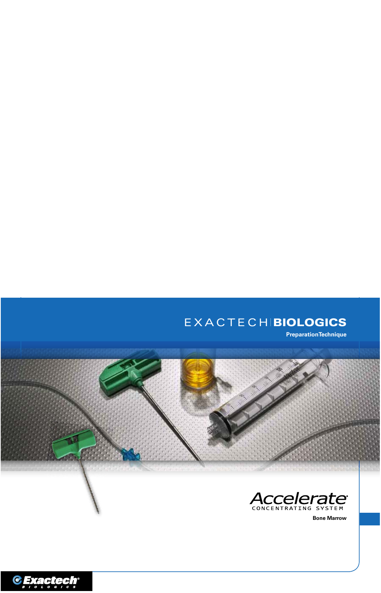# EXACTECHIBIOLOGICS

**PreparationTechnique**





**Bone Marrow**

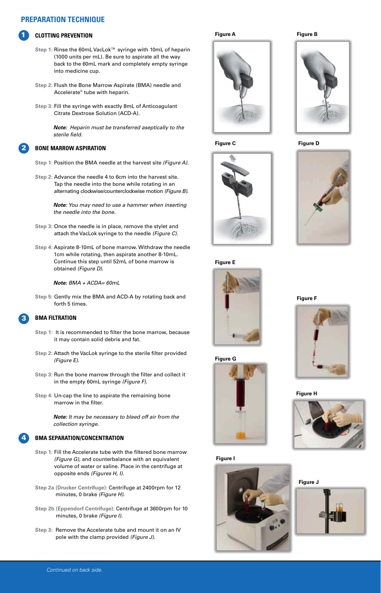# **PREPARATION TECHNIQUE**

## **CLOTTING PREVENTION**

1

2

- **Step 1:** Rinse the 60mL VacLok™ syringe with 10mL of heparin (1000 units per mL). Be sure to aspirate all the way back to the 60mL mark and completely empty syringe into medicine cup.
- **Step 2:** Flush the Bone Marrow Aspirate (BMA) needle and Accelerate® tube with heparin.
- **Step 3:** Fill the syringe with exactly 8mL of Anticoagulant Citrate Dextrose Solution (ACD-A).

 *Note: Heparin must be transferred aseptically to the sterile field.*

#### **BONE MARROW ASPIRATION**

- **Step 1:** Position the BMA needle at the harvest site *(Figure A)*.
- **Step 2:** Advance the needle 4 to 6cm into the harvest site. Tap the needle into the bone while rotating in an alternating clockwise/counterclockwise motion *(Figure B)*.

 *Note: You may need to use a hammer when inserting the needle into the bone.*

- **Step 3:** Once the needle is in place, remove the stylet and attach the VacLok syringe to the needle *(Figure C)*.
- **Step 4:** Aspirate 8-10mL of bone marrow. Withdraw the needle 1cm while rotating, then aspirate another 8-10mL. Continue this step until 52mL of bone marrow is obtained *(Figure D)*.

 *Note: BMA + ACDA= 60mL*

**Step 5:** Gently mix the BMA and ACD-A by rotating back and forth 5 times.

#### **BMA FILTRATION** 3

4

- **Step 1:** It is recommended to filter the bone marrow, because it may contain solid debris and fat.
- **Step 2:** Attach the VacLok syringe to the sterile filter provided *(Figure E)*.
- **Step 3:** Run the bone marrow through the filter and collect it in the empty 60mL syringe *(Figure F)*.
- **Step 4:** Un-cap the line to aspirate the remaining bone marrow in the filter.

 *Note: It may be necessary to bleed off air from the collection syringe.*

#### **BMA SEPARATION/CONCENTRATION**

- **Step 1:** Fill the Accelerate tube with the filtered bone marrow *(Figure G)*, and counterbalance with an equivalent volume of water or saline. Place in the centrifuge at opposite ends *(Figures H, I).*
- **Step 2a (Drucker Centrifuge):** Centrifuge at 2400rpm for 12 minutes, 0 brake *(Figure H)*.
- **Step 2b (Eppendorf Centrifuge):** Centrifuge at 3600rpm for 10 minutes, 0 brake *(Figure I)*.
- **Step 3:** Remove the Accelerate tube and mount it on an IV pole with the clamp provided *(Figure J)*.

**Figure A Figure B**











#### **Figure I**







**Figure F**



**Figure H**



**Figure J**